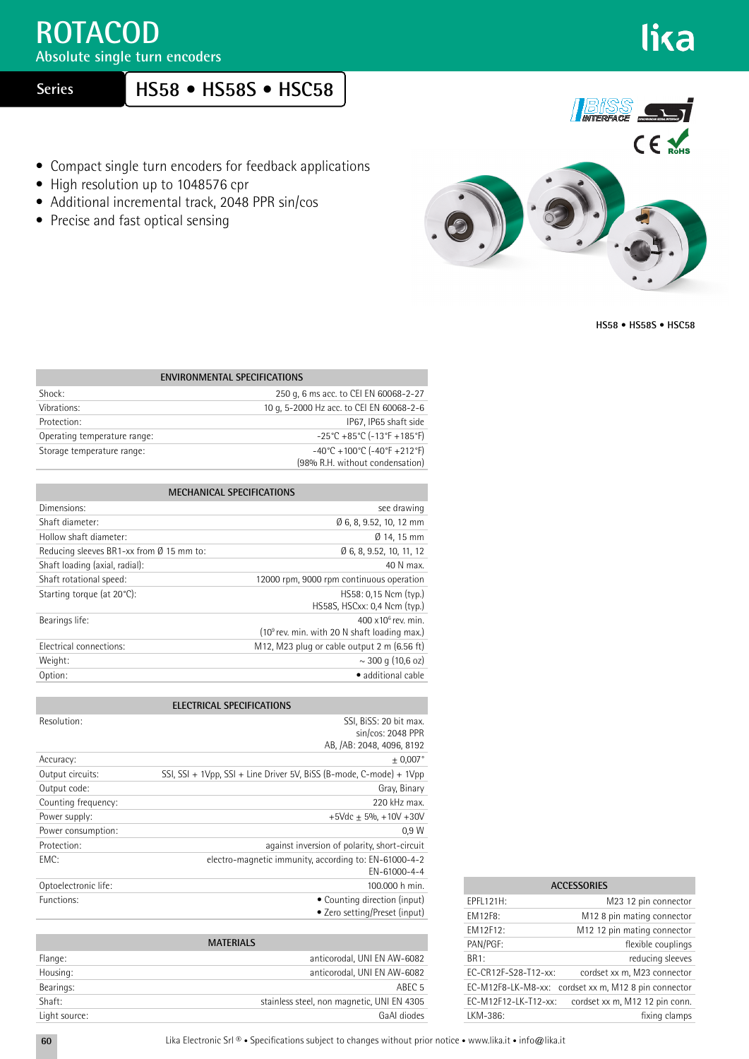## **ROTACOD**

**Absolute single turn encoders**

 **Series**

## **HS58 • HS58S • HSC58**

- Compact single turn encoders for feedback applications
- High resolution up to 1048576 cpr
- Additional incremental track, 2048 PPR sin/cos
- Precise and fast optical sensing



**HS58 • HS58S • HSC58**

| <b>ENVIRONMENTAL SPECIFICATIONS</b> |                                                                          |  |
|-------------------------------------|--------------------------------------------------------------------------|--|
| Shock:                              | 250 g, 6 ms acc. to CEI EN 60068-2-27                                    |  |
| Vibrations:                         | 10 g, 5-2000 Hz acc. to CEI EN 60068-2-6                                 |  |
| Protection:                         | IP67, IP65 shaft side                                                    |  |
| Operating temperature range:        | $-25^{\circ}$ C +85 $^{\circ}$ C (-13 $^{\circ}$ F +185 $^{\circ}$ F)    |  |
| Storage temperature range:          | $-40^{\circ}$ C + 100 $^{\circ}$ C (-40 $^{\circ}$ F + 212 $^{\circ}$ F) |  |
|                                     | (98% R.H. without condensation)                                          |  |

| <b>MECHANICAL SPECIFICATIONS</b>                   |                                                                                         |  |
|----------------------------------------------------|-----------------------------------------------------------------------------------------|--|
| Dimensions:                                        | see drawing                                                                             |  |
| Shaft diameter:                                    | Ø 6, 8, 9.52, 10, 12 mm                                                                 |  |
| Hollow shaft diameter:                             | Ø 14, 15 mm                                                                             |  |
| Reducing sleeves BR1-xx from $\emptyset$ 15 mm to: | Ø 6, 8, 9.52, 10, 11, 12                                                                |  |
| Shaft loading (axial, radial):                     | 40 N max.                                                                               |  |
| Shaft rotational speed:                            | 12000 rpm, 9000 rpm continuous operation                                                |  |
| Starting torque (at 20°C):                         | HS58: 0.15 Ncm (typ.)<br>HS58S, HSCxx: 0,4 Ncm (typ.)                                   |  |
| Bearings life:                                     | $400 \times 10^6$ rev. min.<br>(10 <sup>9</sup> rev. min. with 20 N shaft loading max.) |  |
| Electrical connections:                            | M12, M23 plug or cable output 2 m (6.56 ft)                                             |  |
| Weight:                                            | $\sim$ 300 g (10,6 oz)                                                                  |  |
| Option:                                            | · additional cable                                                                      |  |

|                      | <b>ELECTRICAL SPECIFICATIONS</b>                                         |
|----------------------|--------------------------------------------------------------------------|
| Resolution:          | SSI, BiSS: 20 bit max.<br>sin/cos: 2048 PPR<br>AB, /AB: 2048, 4096, 8192 |
| Accuracy:            | $+0.007$ °                                                               |
| Output circuits:     | SSI, SSI + 1Vpp, SSI + Line Driver 5V, BiSS (B-mode, C-mode) + 1Vpp      |
| Output code:         | Gray, Binary                                                             |
| Counting frequency:  | 220 kHz max.                                                             |
| Power supply:        | +5Vdc $\pm$ 5%, +10V +30V                                                |
| Power consumption:   | 0.9W                                                                     |
| Protection:          | against inversion of polarity, short-circuit                             |
| FMC:                 | electro-magnetic immunity, according to: EN-61000-4-2<br>EN-61000-4-4    |
| Optoelectronic life: | 100,000 h min.                                                           |
| Functions:           | • Counting direction (input)<br>• Zero setting/Preset (input)            |

| <b>MATERIALS</b> |                                            |  |  |
|------------------|--------------------------------------------|--|--|
| Flange:          | anticorodal, UNI EN AW-6082                |  |  |
| Housing:         | anticorodal, UNI EN AW-6082                |  |  |
| Bearings:        | ABEC <sub>5</sub>                          |  |  |
| Shaft:           | stainless steel, non magnetic, UNI EN 4305 |  |  |
| Light source:    | GaAI diodes                                |  |  |

| <b>ACCESSORIES</b>   |                                                      |  |
|----------------------|------------------------------------------------------|--|
| FPFL121H:            | M23 12 pin connector                                 |  |
| <b>FM12F8:</b>       | M12 8 pin mating connector                           |  |
| <b>FM12F12:</b>      | M <sub>12</sub> 12 pin mating connector              |  |
| PAN/PGF:             | flexible couplings                                   |  |
| BR <sub>1:</sub>     | reducing sleeves                                     |  |
| EC-CR12F-S28-T12-xx: | cordset xx m, M23 connector                          |  |
|                      | EC-M12F8-LK-M8-xx: cordset xx m, M12 8 pin connector |  |
| EC-M12F12-LK-T12-xx: | cordset xx m, M12 12 pin conn.                       |  |
| LKM-386:             | fixing clamps                                        |  |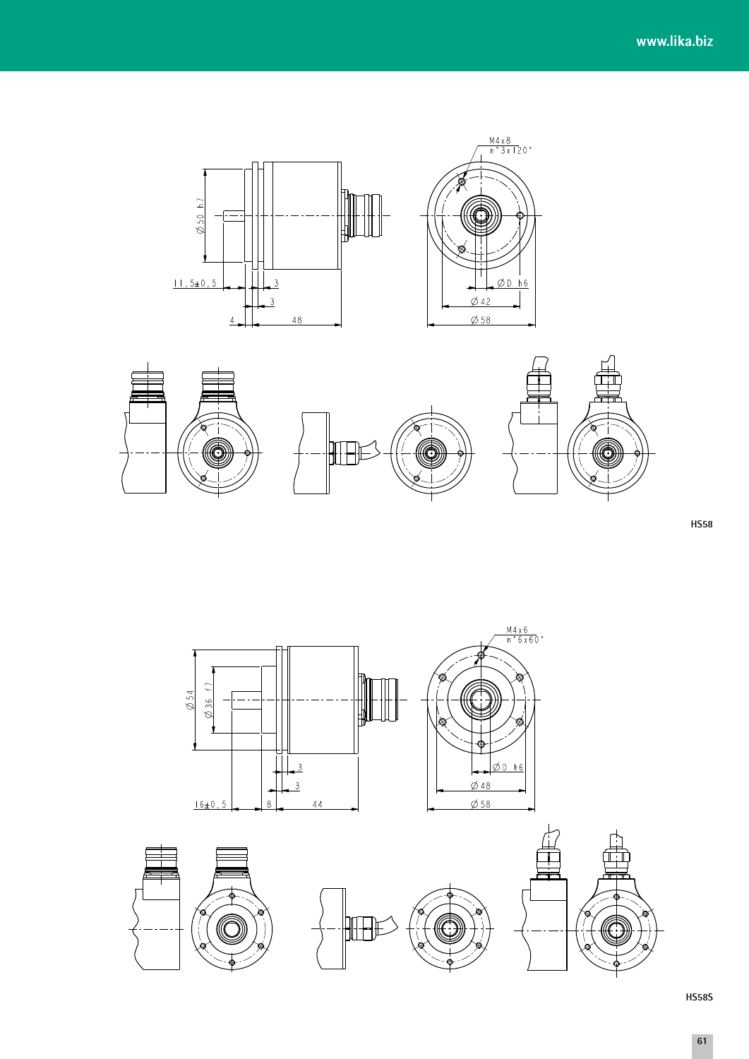



**HS58** 





**HS58S**